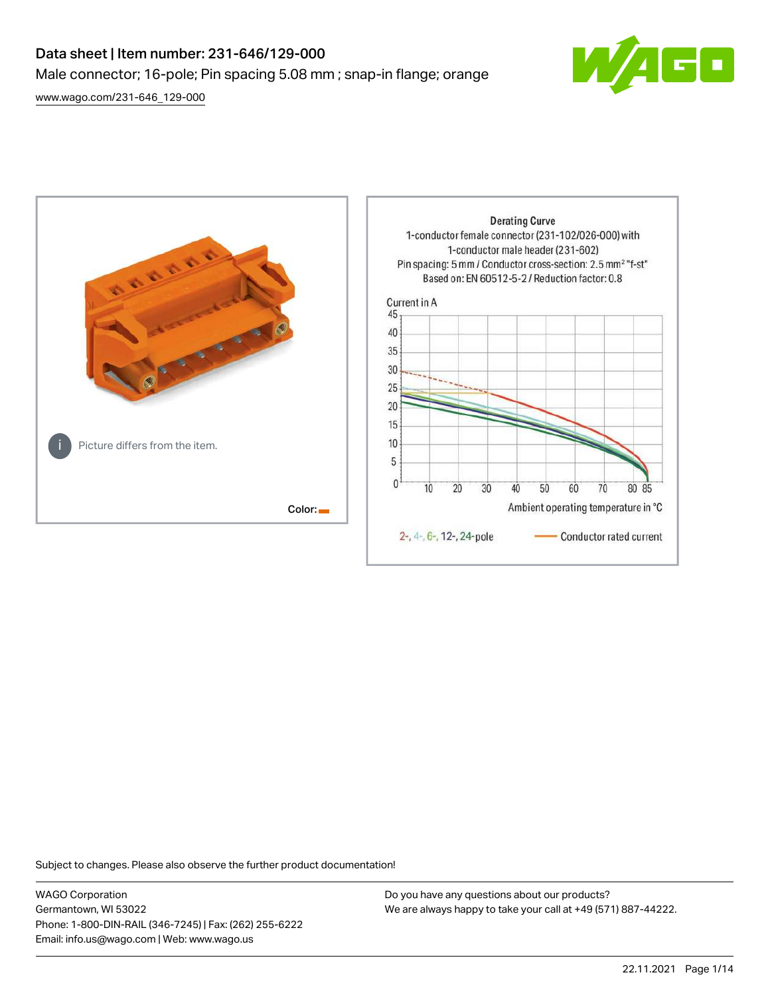# Data sheet | Item number: 231-646/129-000 Male connector; 16-pole; Pin spacing 5.08 mm ; snap-in flange; orange

[www.wago.com/231-646\\_129-000](http://www.wago.com/231-646_129-000)





Subject to changes. Please also observe the further product documentation!

WAGO Corporation Germantown, WI 53022 Phone: 1-800-DIN-RAIL (346-7245) | Fax: (262) 255-6222 Email: info.us@wago.com | Web: www.wago.us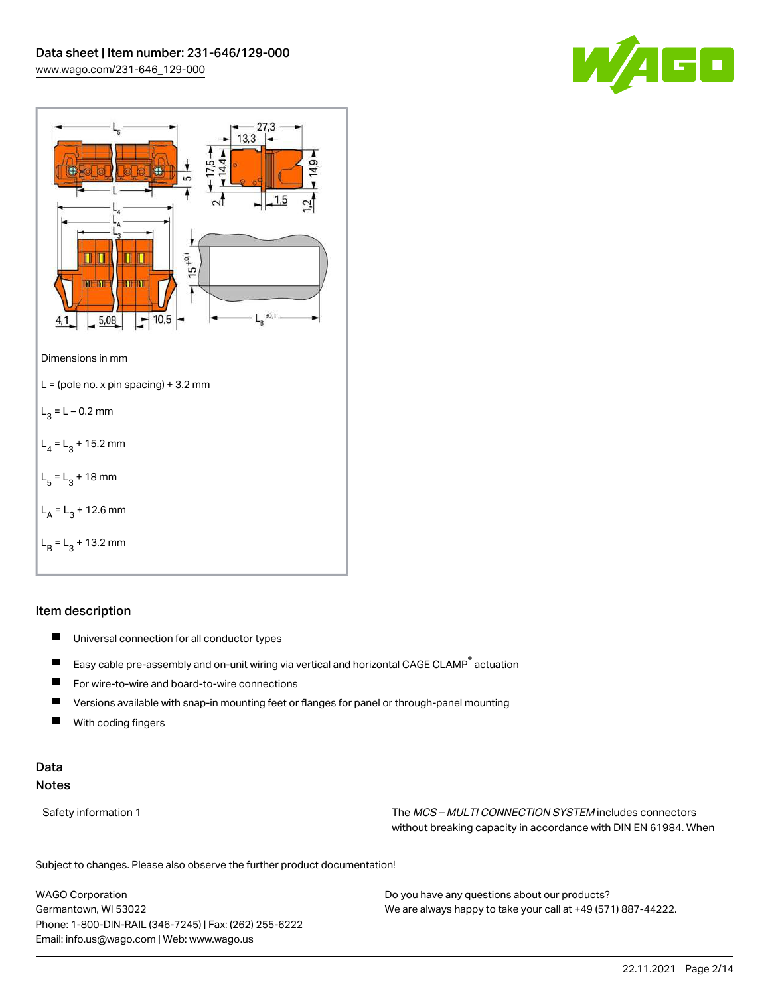



## Item description

- $\blacksquare$ Universal connection for all conductor types
- $\blacksquare$ Easy cable pre-assembly and on-unit wiring via vertical and horizontal CAGE CLAMP® actuation
- $\blacksquare$ For wire-to-wire and board-to-wire connections
- $\blacksquare$ Versions available with snap-in mounting feet or flanges for panel or through-panel mounting
- П With coding fingers

## Data Notes

Safety information 1 The MCS – MULTI CONNECTION SYSTEM includes connectors without breaking capacity in accordance with DIN EN 61984. When

Subject to changes. Please also observe the further product documentation!  $\mathbf{u}$ 

WAGO Corporation Germantown, WI 53022 Phone: 1-800-DIN-RAIL (346-7245) | Fax: (262) 255-6222 Email: info.us@wago.com | Web: www.wago.us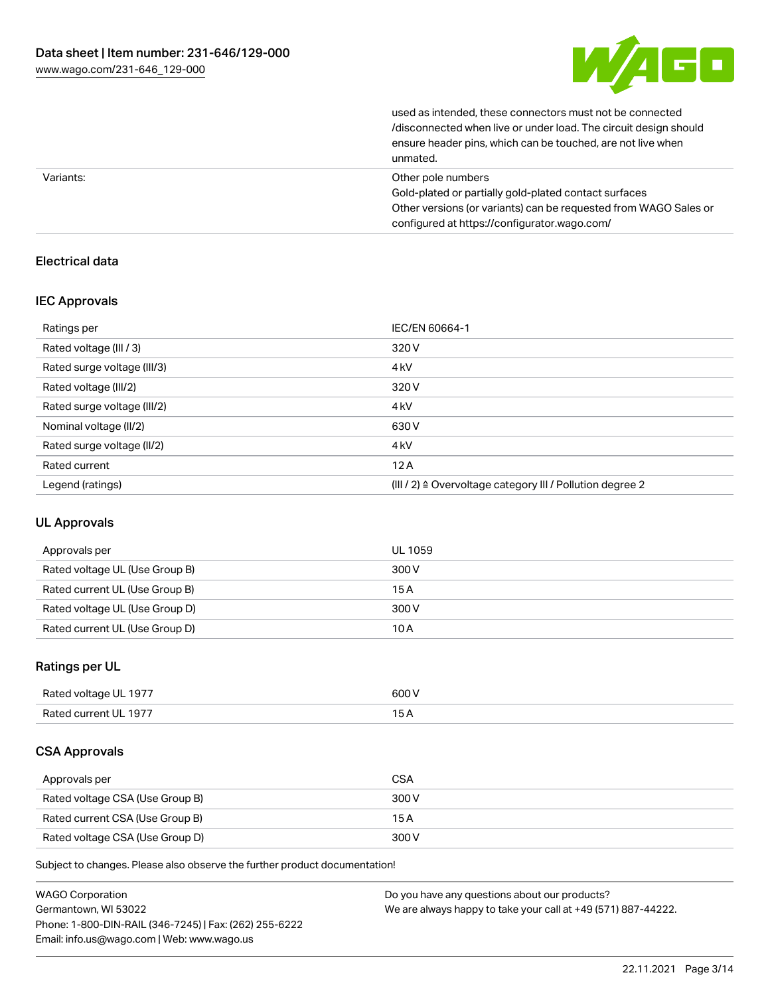

| unmated.                                                         |
|------------------------------------------------------------------|
| ensure header pins, which can be touched, are not live when      |
| /disconnected when live or under load. The circuit design should |
| used as intended, these connectors must not be connected         |

| Variants: | Other pole numbers                                               |
|-----------|------------------------------------------------------------------|
|           | Gold-plated or partially gold-plated contact surfaces            |
|           | Other versions (or variants) can be requested from WAGO Sales or |
|           | configured at https://configurator.wago.com/                     |

## Electrical data

## IEC Approvals

| Ratings per                 | IEC/EN 60664-1                                                       |
|-----------------------------|----------------------------------------------------------------------|
| Rated voltage (III / 3)     | 320 V                                                                |
| Rated surge voltage (III/3) | 4 <sub>kV</sub>                                                      |
| Rated voltage (III/2)       | 320 V                                                                |
| Rated surge voltage (III/2) | 4 <sub>k</sub> V                                                     |
| Nominal voltage (II/2)      | 630 V                                                                |
| Rated surge voltage (II/2)  | 4 <sub>k</sub> V                                                     |
| Rated current               | 12A                                                                  |
| Legend (ratings)            | (III / 2) $\triangleq$ Overvoltage category III / Pollution degree 2 |

## UL Approvals

| Approvals per                  | UL 1059 |
|--------------------------------|---------|
| Rated voltage UL (Use Group B) | 300 V   |
| Rated current UL (Use Group B) | 15A     |
| Rated voltage UL (Use Group D) | 300 V   |
| Rated current UL (Use Group D) | 10 A    |

## Ratings per UL

| Rated voltage UL 1977 | 600 V |
|-----------------------|-------|
| Rated current UL 1977 |       |

## CSA Approvals

| Approvals per                   | <b>CSA</b> |
|---------------------------------|------------|
| Rated voltage CSA (Use Group B) | 300 V      |
| Rated current CSA (Use Group B) | 15 A       |
| Rated voltage CSA (Use Group D) | 300 V      |

Subject to changes. Please also observe the further product documentation!

| <b>WAGO Corporation</b>                                | Do you have any questions about our products?                 |
|--------------------------------------------------------|---------------------------------------------------------------|
| Germantown, WI 53022                                   | We are always happy to take your call at +49 (571) 887-44222. |
| Phone: 1-800-DIN-RAIL (346-7245)   Fax: (262) 255-6222 |                                                               |
| Email: info.us@wago.com   Web: www.wago.us             |                                                               |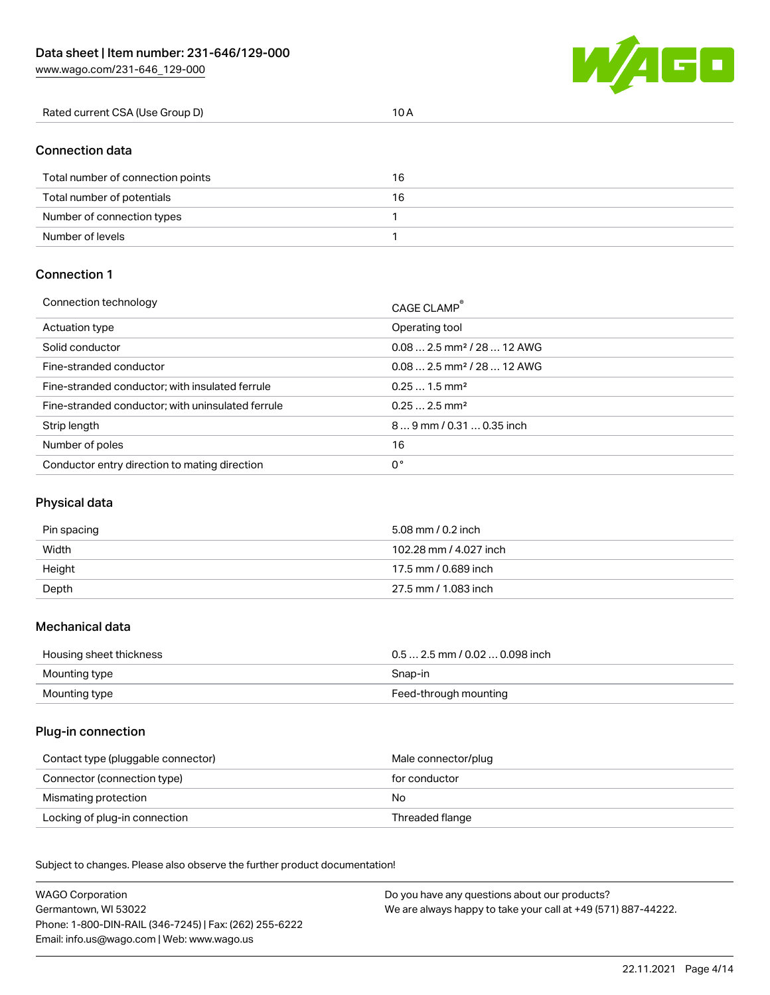**WA** GO

| Rated current CSA (Use Group D) | 10 A |  |
|---------------------------------|------|--|
|                                 |      |  |

## Connection data

| Total number of connection points | 16 |
|-----------------------------------|----|
| Total number of potentials        | 16 |
| Number of connection types        |    |
| Number of levels                  |    |

#### Connection 1

| Connection technology                             | CAGE CLAMP <sup>®</sup>                 |
|---------------------------------------------------|-----------------------------------------|
| Actuation type                                    | Operating tool                          |
| Solid conductor                                   | $0.082.5$ mm <sup>2</sup> / 28  12 AWG  |
| Fine-stranded conductor                           | $0.08$ 2.5 mm <sup>2</sup> / 28  12 AWG |
| Fine-stranded conductor; with insulated ferrule   | $0.251.5$ mm <sup>2</sup>               |
| Fine-stranded conductor; with uninsulated ferrule | $0.252.5$ mm <sup>2</sup>               |
| Strip length                                      | $89$ mm / 0.31  0.35 inch               |
| Number of poles                                   | 16                                      |
| Conductor entry direction to mating direction     | 0°                                      |

# Physical data

| Pin spacing | 5.08 mm / 0.2 inch     |
|-------------|------------------------|
| Width       | 102.28 mm / 4.027 inch |
| Height      | 17.5 mm / 0.689 inch   |
| Depth       | 27.5 mm / 1.083 inch   |

#### Mechanical data

| Housing sheet thickness | $0.5$ 2.5 mm / 0.02  0.098 inch |
|-------------------------|---------------------------------|
| Mounting type           | Snap-in                         |
| Mounting type           | Feed-through mounting           |

#### Plug-in connection

| Contact type (pluggable connector) | Male connector/plug |
|------------------------------------|---------------------|
| Connector (connection type)        | for conductor       |
| Mismating protection               | No                  |
| Locking of plug-in connection      | Threaded flange     |

Subject to changes. Please also observe the further product documentation! Material data

| <b>WAGO Corporation</b>                                | Do you have any questions about our products?                 |
|--------------------------------------------------------|---------------------------------------------------------------|
| Germantown, WI 53022                                   | We are always happy to take your call at +49 (571) 887-44222. |
| Phone: 1-800-DIN-RAIL (346-7245)   Fax: (262) 255-6222 |                                                               |
| Email: info.us@wago.com   Web: www.wago.us             |                                                               |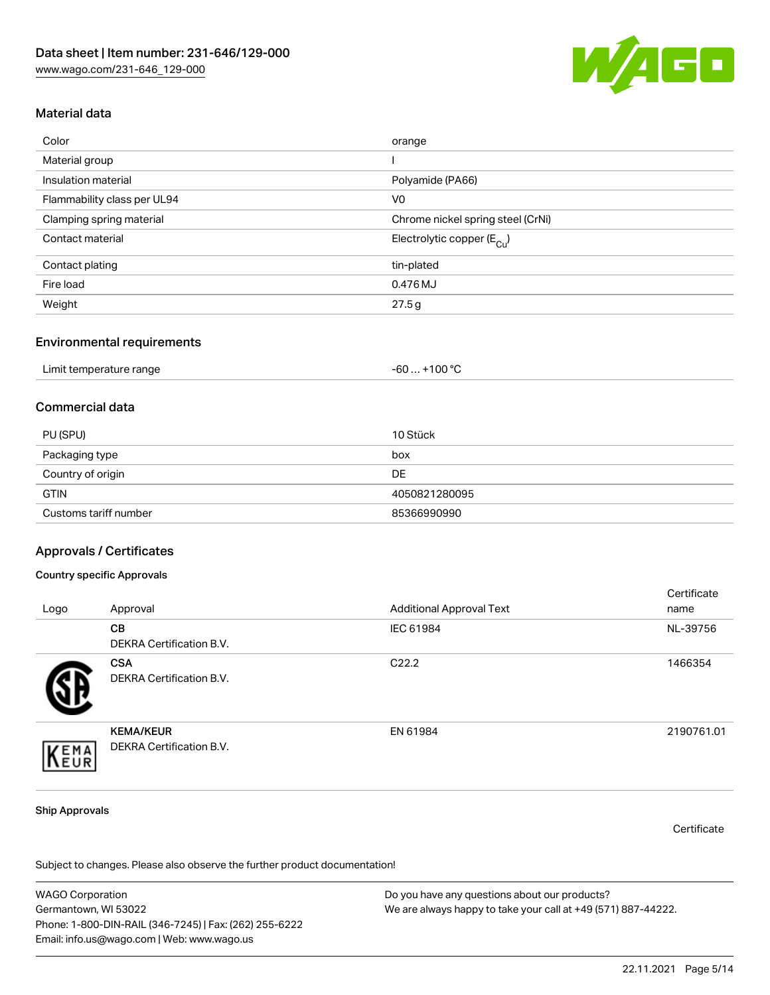

## Material data

| Color                       | orange                                 |
|-----------------------------|----------------------------------------|
| Material group              |                                        |
| Insulation material         | Polyamide (PA66)                       |
| Flammability class per UL94 | V <sub>0</sub>                         |
| Clamping spring material    | Chrome nickel spring steel (CrNi)      |
| Contact material            | Electrolytic copper (E <sub>Cu</sub> ) |
| Contact plating             | tin-plated                             |
| Fire load                   | 0.476 MJ                               |
| Weight                      | 27.5g                                  |

#### Environmental requirements

| Limit temperature range | . +100 ° <sup>∩</sup><br>-60 |
|-------------------------|------------------------------|
|-------------------------|------------------------------|

#### Commercial data

| PU (SPU)              | 10 Stück      |
|-----------------------|---------------|
| Packaging type        | box           |
| Country of origin     | DE            |
| <b>GTIN</b>           | 4050821280095 |
| Customs tariff number | 85366990990   |

#### Approvals / Certificates

#### Country specific Approvals

| Logo | Approval                                     | <b>Additional Approval Text</b> | Certificate<br>name |
|------|----------------------------------------------|---------------------------------|---------------------|
|      | <b>CB</b><br><b>DEKRA Certification B.V.</b> | IEC 61984                       | NL-39756            |
|      | <b>CSA</b><br>DEKRA Certification B.V.       | C <sub>22.2</sub>               | 1466354             |
| EMA  | <b>KEMA/KEUR</b><br>DEKRA Certification B.V. | EN 61984                        | 2190761.01          |

#### Ship Approvals

**Certificate** 

Subject to changes. Please also observe the further product documentation!

WAGO Corporation Germantown, WI 53022 Phone: 1-800-DIN-RAIL (346-7245) | Fax: (262) 255-6222 Email: info.us@wago.com | Web: www.wago.us Do you have any questions about our products? We are always happy to take your call at +49 (571) 887-44222.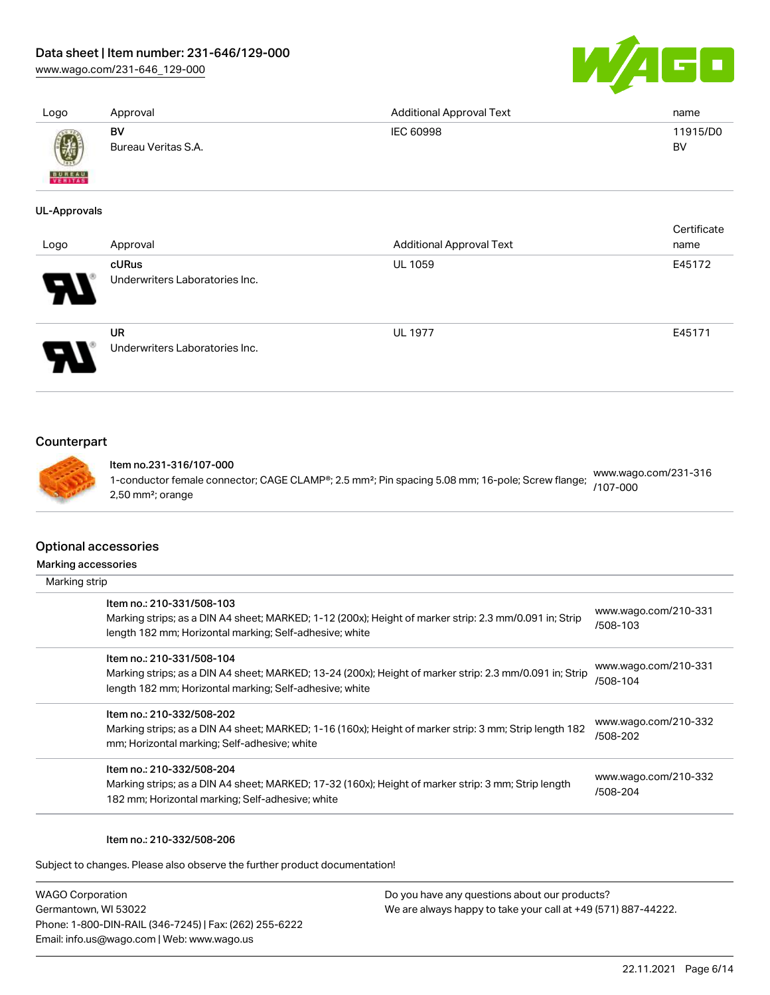## Data sheet | Item number: 231-646/129-000

[www.wago.com/231-646\\_129-000](http://www.wago.com/231-646_129-000)



| Logo                | Approval                       | <b>Additional Approval Text</b>                                                                              | name                             |
|---------------------|--------------------------------|--------------------------------------------------------------------------------------------------------------|----------------------------------|
|                     | BV<br>Bureau Veritas S.A.      | IEC 60998                                                                                                    | 11915/D0<br><b>BV</b>            |
| VERITAS             |                                |                                                                                                              |                                  |
| <b>UL-Approvals</b> |                                |                                                                                                              |                                  |
|                     |                                |                                                                                                              | Certificate                      |
| Logo                | Approval                       | <b>Additional Approval Text</b>                                                                              | name                             |
|                     | cURus                          | UL 1059                                                                                                      | E45172                           |
|                     | Underwriters Laboratories Inc. |                                                                                                              |                                  |
|                     | <b>UR</b>                      | <b>UL 1977</b>                                                                                               | E45171                           |
|                     | Underwriters Laboratories Inc. |                                                                                                              |                                  |
| Counterpart         |                                |                                                                                                              |                                  |
|                     | Item no.231-316/107-000        |                                                                                                              |                                  |
|                     | 2,50 mm <sup>2</sup> ; orange  | 1-conductor female connector; CAGE CLAMP®; 2.5 mm <sup>2</sup> ; Pin spacing 5.08 mm; 16-pole; Screw flange; | www.wago.com/231-316<br>/107-000 |

#### Optional accessories

Marking accessories

| Marking strip                                                                                                                                                                                   |                                  |
|-------------------------------------------------------------------------------------------------------------------------------------------------------------------------------------------------|----------------------------------|
| Item no.: 210-331/508-103<br>Marking strips; as a DIN A4 sheet; MARKED; 1-12 (200x); Height of marker strip: 2.3 mm/0.091 in; Strip<br>length 182 mm; Horizontal marking; Self-adhesive; white  | www.wago.com/210-331<br>/508-103 |
| Item no.: 210-331/508-104<br>Marking strips; as a DIN A4 sheet; MARKED; 13-24 (200x); Height of marker strip: 2.3 mm/0.091 in; Strip<br>length 182 mm; Horizontal marking; Self-adhesive; white | www.wago.com/210-331<br>/508-104 |
| Item no.: 210-332/508-202<br>Marking strips; as a DIN A4 sheet; MARKED; 1-16 (160x); Height of marker strip: 3 mm; Strip length 182<br>mm; Horizontal marking; Self-adhesive; white             | www.wago.com/210-332<br>/508-202 |
| Item no.: 210-332/508-204<br>Marking strips; as a DIN A4 sheet; MARKED; 17-32 (160x); Height of marker strip: 3 mm; Strip length<br>182 mm; Horizontal marking; Self-adhesive; white            | www.wago.com/210-332<br>/508-204 |

#### Item no.: 210-332/508-206

Subject to changes. Please also observe the further product documentation!

WAGO Corporation Germantown, WI 53022 Phone: 1-800-DIN-RAIL (346-7245) | Fax: (262) 255-6222 Email: info.us@wago.com | Web: www.wago.us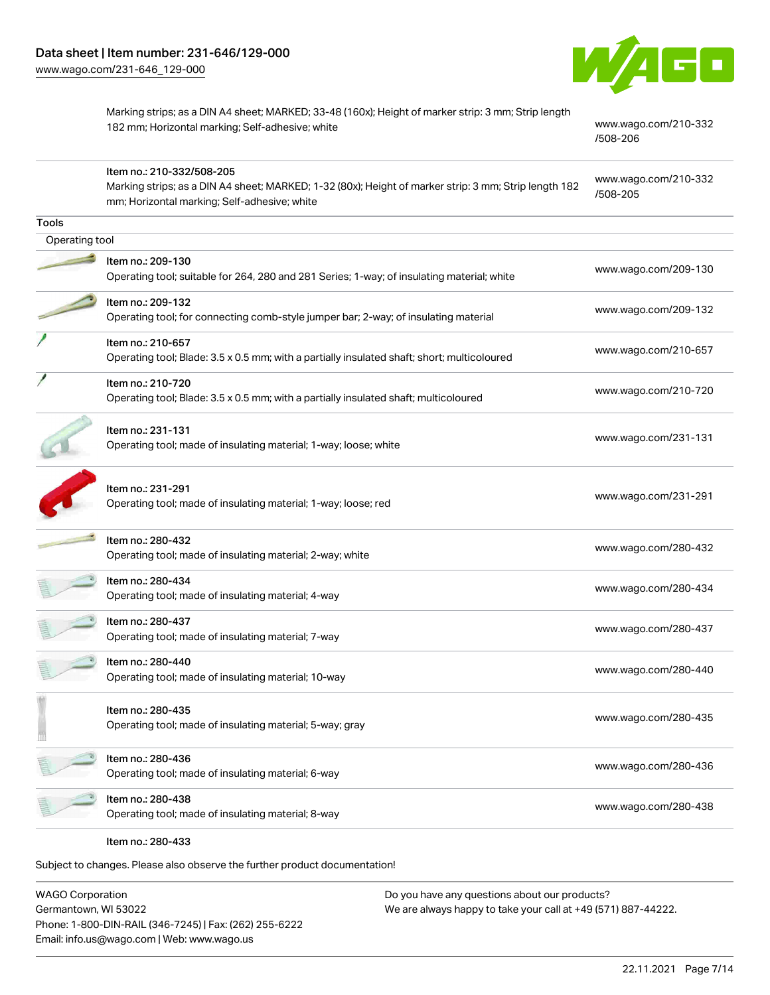

Marking strips; as a DIN A4 sheet; MARKED; 33-48 (160x); Height of marker strip: 3 mm; Strip length 182 mm; Horizontal marking; Self-adhesive; white [www.wago.com/210-332](http://www.wago.com/210-332/508-206)

[/508-206](http://www.wago.com/210-332/508-206)

|                | Item no.: 210-332/508-205<br>Marking strips; as a DIN A4 sheet; MARKED; 1-32 (80x); Height of marker strip: 3 mm; Strip length 182<br>mm; Horizontal marking; Self-adhesive; white | www.wago.com/210-332<br>/508-205 |
|----------------|------------------------------------------------------------------------------------------------------------------------------------------------------------------------------------|----------------------------------|
| <b>Tools</b>   |                                                                                                                                                                                    |                                  |
| Operating tool |                                                                                                                                                                                    |                                  |
|                | Item no.: 209-130<br>Operating tool; suitable for 264, 280 and 281 Series; 1-way; of insulating material; white                                                                    | www.wago.com/209-130             |
|                | Item no.: 209-132<br>Operating tool; for connecting comb-style jumper bar; 2-way; of insulating material                                                                           | www.wago.com/209-132             |
|                | Item no.: 210-657<br>Operating tool; Blade: 3.5 x 0.5 mm; with a partially insulated shaft; short; multicoloured                                                                   | www.wago.com/210-657             |
|                | Item no.: 210-720<br>Operating tool; Blade: 3.5 x 0.5 mm; with a partially insulated shaft; multicoloured                                                                          | www.wago.com/210-720             |
|                | Item no.: 231-131<br>Operating tool; made of insulating material; 1-way; loose; white                                                                                              | www.wago.com/231-131             |
|                | Item no.: 231-291<br>Operating tool; made of insulating material; 1-way; loose; red                                                                                                | www.wago.com/231-291             |
|                | Item no.: 280-432<br>Operating tool; made of insulating material; 2-way; white                                                                                                     | www.wago.com/280-432             |
|                | Item no.: 280-434<br>Operating tool; made of insulating material; 4-way                                                                                                            | www.wago.com/280-434             |
|                | Item no.: 280-437<br>Operating tool; made of insulating material; 7-way                                                                                                            | www.wago.com/280-437             |
|                | ltem no.: 280-440<br>Operating tool; made of insulating material; 10-way                                                                                                           | www.wago.com/280-440             |
|                | Item no.: 280-435<br>Operating tool; made of insulating material; 5-way; gray                                                                                                      | www.wago.com/280-435             |
|                | Item no.: 280-436<br>Operating tool; made of insulating material; 6-way                                                                                                            | www.wago.com/280-436             |
|                | Item no.: 280-438<br>Operating tool; made of insulating material; 8-way                                                                                                            | www.wago.com/280-438             |
|                |                                                                                                                                                                                    |                                  |

Item no.: 280-433

Subject to changes. Please also observe the further product documentation!

WAGO Corporation Germantown, WI 53022 Phone: 1-800-DIN-RAIL (346-7245) | Fax: (262) 255-6222 Email: info.us@wago.com | Web: www.wago.us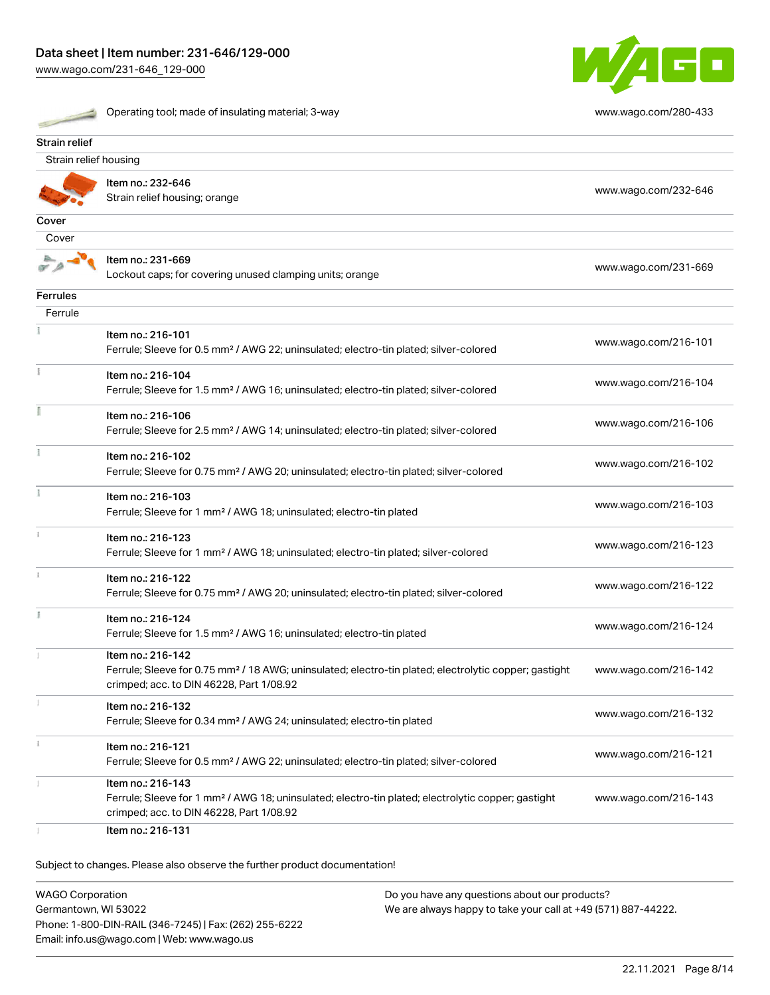[www.wago.com/231-646\\_129-000](http://www.wago.com/231-646_129-000)

| ż |  |
|---|--|
|   |  |
|   |  |

Operating tool; made of insulating material; 3-way [www.wago.com/280-433](http://www.wago.com/280-433)



| Strain relief         |                                                                                                                                                                                    |                      |
|-----------------------|------------------------------------------------------------------------------------------------------------------------------------------------------------------------------------|----------------------|
| Strain relief housing |                                                                                                                                                                                    |                      |
|                       | Item no.: 232-646<br>Strain relief housing; orange                                                                                                                                 | www.wago.com/232-646 |
| Cover                 |                                                                                                                                                                                    |                      |
| Cover                 |                                                                                                                                                                                    |                      |
|                       | Item no.: 231-669<br>Lockout caps; for covering unused clamping units; orange                                                                                                      | www.wago.com/231-669 |
| <b>Ferrules</b>       |                                                                                                                                                                                    |                      |
| Ferrule               |                                                                                                                                                                                    |                      |
|                       | Item no.: 216-101<br>Ferrule; Sleeve for 0.5 mm <sup>2</sup> / AWG 22; uninsulated; electro-tin plated; silver-colored                                                             | www.wago.com/216-101 |
|                       | Item no.: 216-104<br>Ferrule; Sleeve for 1.5 mm <sup>2</sup> / AWG 16; uninsulated; electro-tin plated; silver-colored                                                             | www.wago.com/216-104 |
|                       | Item no.: 216-106<br>Ferrule; Sleeve for 2.5 mm <sup>2</sup> / AWG 14; uninsulated; electro-tin plated; silver-colored                                                             | www.wago.com/216-106 |
|                       | Item no.: 216-102<br>Ferrule; Sleeve for 0.75 mm <sup>2</sup> / AWG 20; uninsulated; electro-tin plated; silver-colored                                                            | www.wago.com/216-102 |
|                       | Item no.: 216-103<br>Ferrule; Sleeve for 1 mm <sup>2</sup> / AWG 18; uninsulated; electro-tin plated                                                                               | www.wago.com/216-103 |
|                       | Item no.: 216-123<br>Ferrule; Sleeve for 1 mm <sup>2</sup> / AWG 18; uninsulated; electro-tin plated; silver-colored                                                               | www.wago.com/216-123 |
|                       | Item no.: 216-122<br>Ferrule; Sleeve for 0.75 mm <sup>2</sup> / AWG 20; uninsulated; electro-tin plated; silver-colored                                                            | www.wago.com/216-122 |
|                       | Item no.: 216-124<br>Ferrule; Sleeve for 1.5 mm <sup>2</sup> / AWG 16; uninsulated; electro-tin plated                                                                             | www.wago.com/216-124 |
|                       | Item no.: 216-142<br>Ferrule; Sleeve for 0.75 mm <sup>2</sup> / 18 AWG; uninsulated; electro-tin plated; electrolytic copper; gastight<br>crimped; acc. to DIN 46228, Part 1/08.92 | www.wago.com/216-142 |
|                       | Item no.: 216-132<br>Ferrule; Sleeve for 0.34 mm <sup>2</sup> / AWG 24; uninsulated; electro-tin plated                                                                            | www.wago.com/216-132 |
|                       | Item no.: 216-121<br>Ferrule; Sleeve for 0.5 mm <sup>2</sup> / AWG 22; uninsulated; electro-tin plated; silver-colored                                                             | www.wago.com/216-121 |
|                       | Item no.: 216-143<br>Ferrule; Sleeve for 1 mm <sup>2</sup> / AWG 18; uninsulated; electro-tin plated; electrolytic copper; gastight<br>crimped; acc. to DIN 46228, Part 1/08.92    | www.wago.com/216-143 |
|                       | Item no.: 216-131                                                                                                                                                                  |                      |

Subject to changes. Please also observe the further product documentation!

WAGO Corporation Germantown, WI 53022 Phone: 1-800-DIN-RAIL (346-7245) | Fax: (262) 255-6222 Email: info.us@wago.com | Web: www.wago.us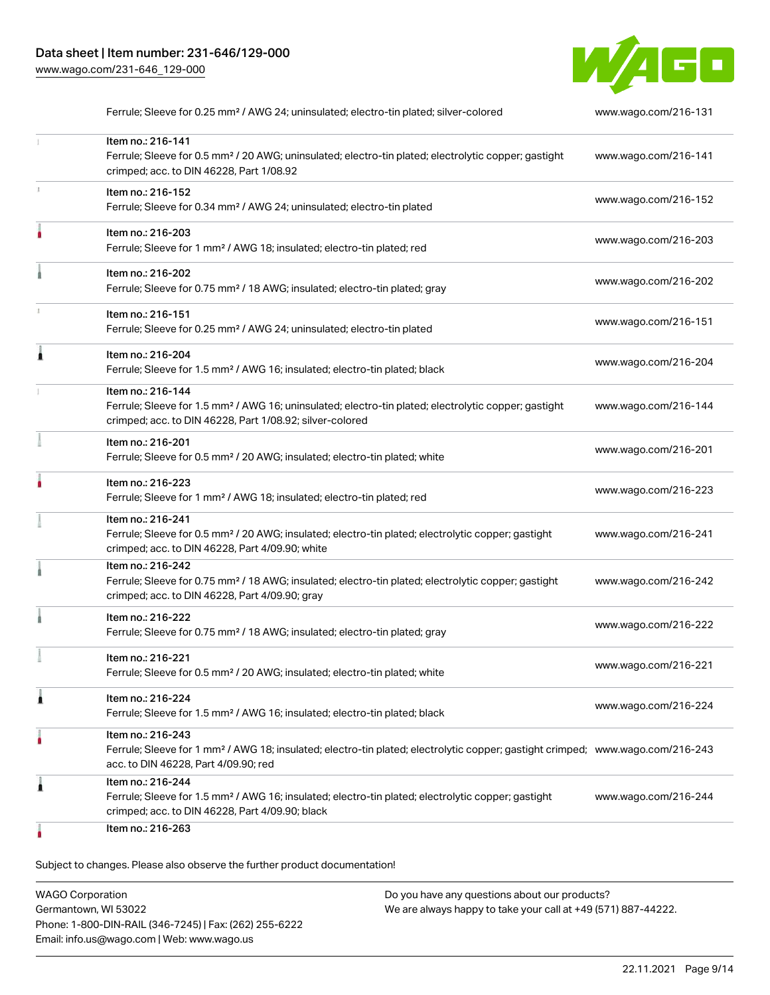

|   | Ferrule; Sleeve for 0.25 mm <sup>2</sup> / AWG 24; uninsulated; electro-tin plated; silver-colored                                                                                                      | www.wago.com/216-131 |
|---|---------------------------------------------------------------------------------------------------------------------------------------------------------------------------------------------------------|----------------------|
|   | Item no.: 216-141<br>Ferrule; Sleeve for 0.5 mm <sup>2</sup> / 20 AWG; uninsulated; electro-tin plated; electrolytic copper; gastight<br>crimped; acc. to DIN 46228, Part 1/08.92                       | www.wago.com/216-141 |
|   | Item no.: 216-152<br>Ferrule; Sleeve for 0.34 mm <sup>2</sup> / AWG 24; uninsulated; electro-tin plated                                                                                                 | www.wago.com/216-152 |
|   | Item no.: 216-203<br>Ferrule; Sleeve for 1 mm <sup>2</sup> / AWG 18; insulated; electro-tin plated; red                                                                                                 | www.wago.com/216-203 |
|   | Item no.: 216-202<br>Ferrule; Sleeve for 0.75 mm <sup>2</sup> / 18 AWG; insulated; electro-tin plated; gray                                                                                             | www.wago.com/216-202 |
|   | Item no.: 216-151<br>Ferrule; Sleeve for 0.25 mm <sup>2</sup> / AWG 24; uninsulated; electro-tin plated                                                                                                 | www.wago.com/216-151 |
|   | Item no.: 216-204<br>Ferrule; Sleeve for 1.5 mm <sup>2</sup> / AWG 16; insulated; electro-tin plated; black                                                                                             | www.wago.com/216-204 |
|   | Item no.: 216-144<br>Ferrule; Sleeve for 1.5 mm <sup>2</sup> / AWG 16; uninsulated; electro-tin plated; electrolytic copper; gastight<br>crimped; acc. to DIN 46228, Part 1/08.92; silver-colored       | www.wago.com/216-144 |
|   | Item no.: 216-201<br>Ferrule; Sleeve for 0.5 mm <sup>2</sup> / 20 AWG; insulated; electro-tin plated; white                                                                                             | www.wago.com/216-201 |
|   | Item no.: 216-223<br>Ferrule; Sleeve for 1 mm <sup>2</sup> / AWG 18; insulated; electro-tin plated; red                                                                                                 | www.wago.com/216-223 |
|   | Item no.: 216-241<br>Ferrule; Sleeve for 0.5 mm <sup>2</sup> / 20 AWG; insulated; electro-tin plated; electrolytic copper; gastight<br>crimped; acc. to DIN 46228, Part 4/09.90; white                  | www.wago.com/216-241 |
|   | Item no.: 216-242<br>Ferrule; Sleeve for 0.75 mm <sup>2</sup> / 18 AWG; insulated; electro-tin plated; electrolytic copper; gastight<br>crimped; acc. to DIN 46228, Part 4/09.90; gray                  | www.wago.com/216-242 |
|   | Item no.: 216-222<br>Ferrule; Sleeve for 0.75 mm <sup>2</sup> / 18 AWG; insulated; electro-tin plated; gray                                                                                             | www.wago.com/216-222 |
|   | Item no.: 216-221<br>Ferrule; Sleeve for 0.5 mm <sup>2</sup> / 20 AWG; insulated; electro-tin plated; white                                                                                             | www.wago.com/216-221 |
| 1 | Item no.: 216-224<br>Ferrule; Sleeve for 1.5 mm <sup>2</sup> / AWG 16; insulated; electro-tin plated; black                                                                                             | www.wago.com/216-224 |
|   | Item no.: 216-243<br>Ferrule; Sleeve for 1 mm <sup>2</sup> / AWG 18; insulated; electro-tin plated; electrolytic copper; gastight crimped; www.wago.com/216-243<br>acc. to DIN 46228, Part 4/09.90; red |                      |
| 1 | Item no.: 216-244<br>Ferrule; Sleeve for 1.5 mm <sup>2</sup> / AWG 16; insulated; electro-tin plated; electrolytic copper; gastight<br>crimped; acc. to DIN 46228, Part 4/09.90; black                  | www.wago.com/216-244 |
|   | Item no.: 216-263                                                                                                                                                                                       |                      |

Subject to changes. Please also observe the further product documentation!

| <b>WAGO Corporation</b>                                | Do you have any questions about our products?                 |
|--------------------------------------------------------|---------------------------------------------------------------|
| Germantown, WI 53022                                   | We are always happy to take your call at +49 (571) 887-44222. |
| Phone: 1-800-DIN-RAIL (346-7245)   Fax: (262) 255-6222 |                                                               |
| Email: info.us@wago.com   Web: www.wago.us             |                                                               |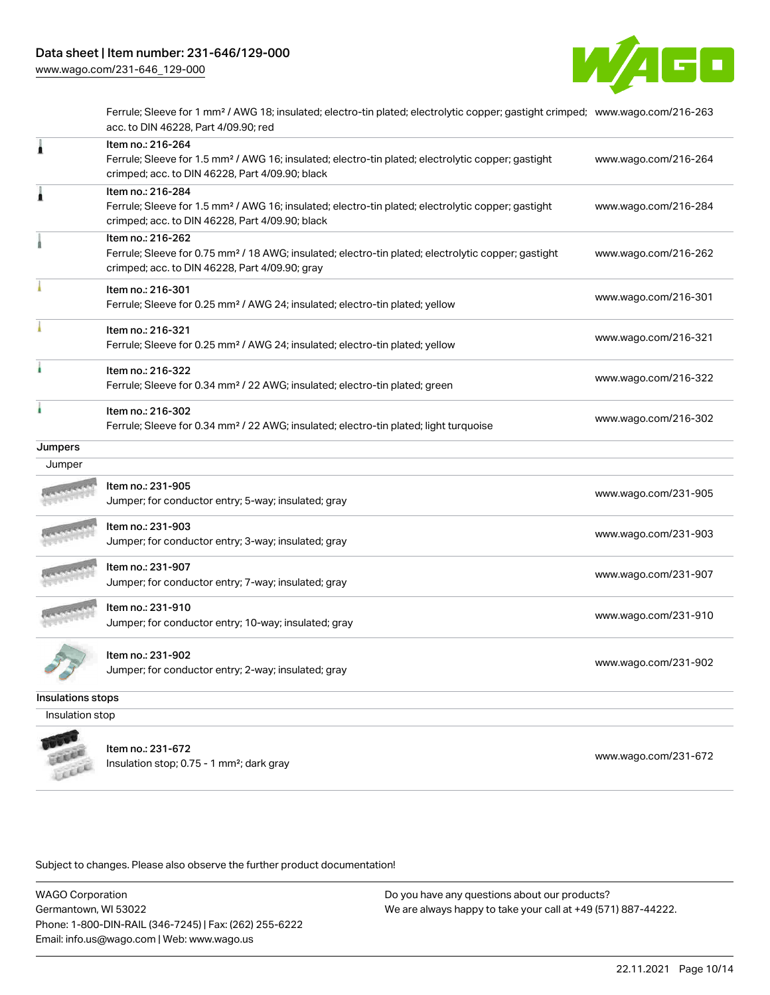

Ferrule; Sleeve for 1 mm² / AWG 18; insulated; electro-tin plated; electrolytic copper; gastight crimped; [www.wago.com/216-263](http://www.wago.com/216-263) acc. to DIN 46228, Part 4/09.90; red

|                   | Item no.: 216-264<br>Ferrule; Sleeve for 1.5 mm <sup>2</sup> / AWG 16; insulated; electro-tin plated; electrolytic copper; gastight                                                    | www.wago.com/216-264 |
|-------------------|----------------------------------------------------------------------------------------------------------------------------------------------------------------------------------------|----------------------|
|                   | crimped; acc. to DIN 46228, Part 4/09.90; black                                                                                                                                        |                      |
| ۸                 | Item no.: 216-284<br>Ferrule; Sleeve for 1.5 mm <sup>2</sup> / AWG 16; insulated; electro-tin plated; electrolytic copper; gastight<br>crimped; acc. to DIN 46228, Part 4/09.90; black | www.wago.com/216-284 |
|                   | Item no.: 216-262<br>Ferrule; Sleeve for 0.75 mm <sup>2</sup> / 18 AWG; insulated; electro-tin plated; electrolytic copper; gastight<br>crimped; acc. to DIN 46228, Part 4/09.90; gray | www.wago.com/216-262 |
|                   | Item no.: 216-301<br>Ferrule; Sleeve for 0.25 mm <sup>2</sup> / AWG 24; insulated; electro-tin plated; yellow                                                                          | www.wago.com/216-301 |
|                   | Item no.: 216-321<br>Ferrule; Sleeve for 0.25 mm <sup>2</sup> / AWG 24; insulated; electro-tin plated; yellow                                                                          | www.wago.com/216-321 |
|                   | Item no.: 216-322<br>Ferrule; Sleeve for 0.34 mm <sup>2</sup> / 22 AWG; insulated; electro-tin plated; green                                                                           | www.wago.com/216-322 |
| à                 | Item no.: 216-302<br>Ferrule; Sleeve for 0.34 mm <sup>2</sup> / 22 AWG; insulated; electro-tin plated; light turquoise                                                                 | www.wago.com/216-302 |
| Jumpers           |                                                                                                                                                                                        |                      |
| Jumper            |                                                                                                                                                                                        |                      |
|                   | Item no.: 231-905<br>Jumper; for conductor entry; 5-way; insulated; gray                                                                                                               | www.wago.com/231-905 |
|                   | Item no.: 231-903<br>Jumper; for conductor entry; 3-way; insulated; gray                                                                                                               | www.wago.com/231-903 |
|                   | Item no.: 231-907<br>Jumper; for conductor entry; 7-way; insulated; gray                                                                                                               | www.wago.com/231-907 |
|                   | Item no.: 231-910<br>Jumper; for conductor entry; 10-way; insulated; gray                                                                                                              | www.wago.com/231-910 |
|                   | Item no.: 231-902<br>Jumper; for conductor entry; 2-way; insulated; gray                                                                                                               | www.wago.com/231-902 |
| Insulations stops |                                                                                                                                                                                        |                      |
| Insulation stop   |                                                                                                                                                                                        |                      |
|                   |                                                                                                                                                                                        |                      |

LEEEE

Item no.: 231-672 Insulation stop; 0.75 - 1 mm<sup>2</sup>; dark gray [www.wago.com/231-672](http://www.wago.com/231-672) www.wago.com/231-672

Subject to changes. Please also observe the further product documentation!

WAGO Corporation Germantown, WI 53022 Phone: 1-800-DIN-RAIL (346-7245) | Fax: (262) 255-6222 Email: info.us@wago.com | Web: www.wago.us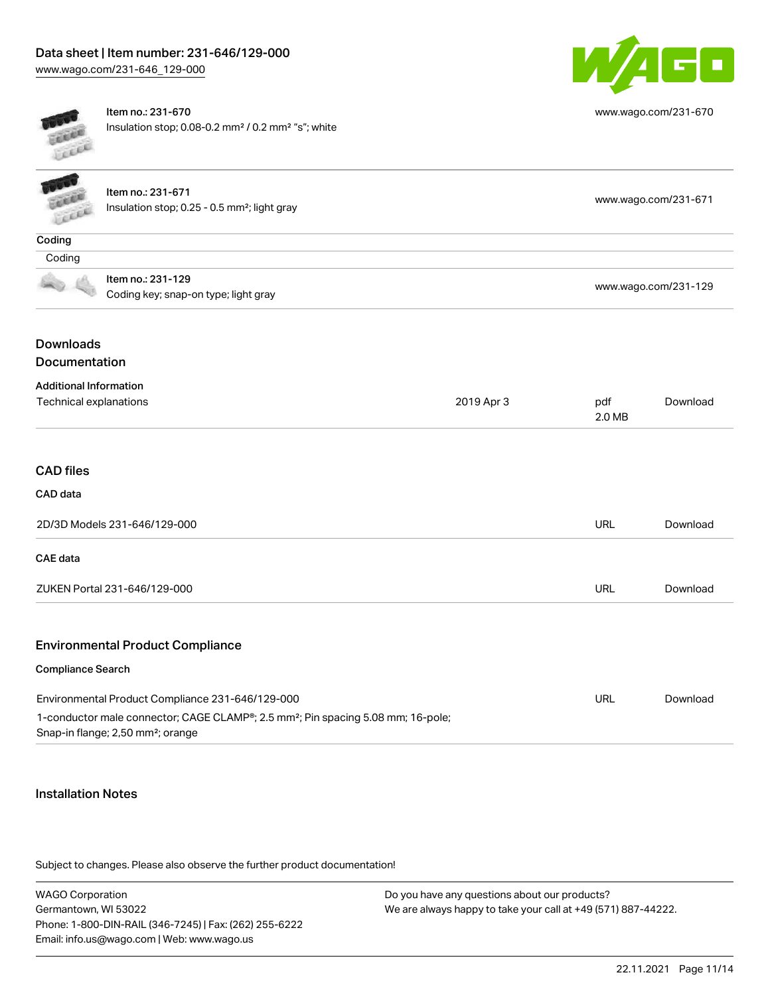

[www.wago.com/231-670](http://www.wago.com/231-670)

Item no.: 231-670 Insulation stop; 0.08-0.2 mm² / 0.2 mm² "s"; white

| <b>TEXT</b><br>cicco                             | Item no.: 231-671<br>Insulation stop; 0.25 - 0.5 mm <sup>2</sup> ; light gray                                                                 |            | www.wago.com/231-671 |          |
|--------------------------------------------------|-----------------------------------------------------------------------------------------------------------------------------------------------|------------|----------------------|----------|
| Coding                                           |                                                                                                                                               |            |                      |          |
| Coding                                           |                                                                                                                                               |            |                      |          |
|                                                  | Item no.: 231-129<br>Coding key; snap-on type; light gray                                                                                     |            | www.wago.com/231-129 |          |
| <b>Downloads</b><br>Documentation                |                                                                                                                                               |            |                      |          |
| <b>Additional Information</b>                    |                                                                                                                                               |            |                      |          |
| Technical explanations                           |                                                                                                                                               | 2019 Apr 3 | pdf<br>2.0 MB        | Download |
| <b>CAD files</b><br>CAD data                     |                                                                                                                                               |            |                      |          |
| 2D/3D Models 231-646/129-000                     |                                                                                                                                               |            | <b>URL</b>           | Download |
| <b>CAE</b> data                                  |                                                                                                                                               |            |                      |          |
|                                                  | ZUKEN Portal 231-646/129-000                                                                                                                  |            | <b>URL</b>           | Download |
|                                                  | <b>Environmental Product Compliance</b>                                                                                                       |            |                      |          |
| <b>Compliance Search</b>                         |                                                                                                                                               |            |                      |          |
| Environmental Product Compliance 231-646/129-000 |                                                                                                                                               |            | <b>URL</b>           | Download |
|                                                  | 1-conductor male connector; CAGE CLAMP®; 2.5 mm <sup>2</sup> ; Pin spacing 5.08 mm; 16-pole;<br>Snap-in flange; 2,50 mm <sup>2</sup> ; orange |            |                      |          |

#### Installation Notes

Subject to changes. Please also observe the further product documentation!

WAGO Corporation Germantown, WI 53022 Phone: 1-800-DIN-RAIL (346-7245) | Fax: (262) 255-6222 Email: info.us@wago.com | Web: www.wago.us Do you have any questions about our products? We are always happy to take your call at +49 (571) 887-44222.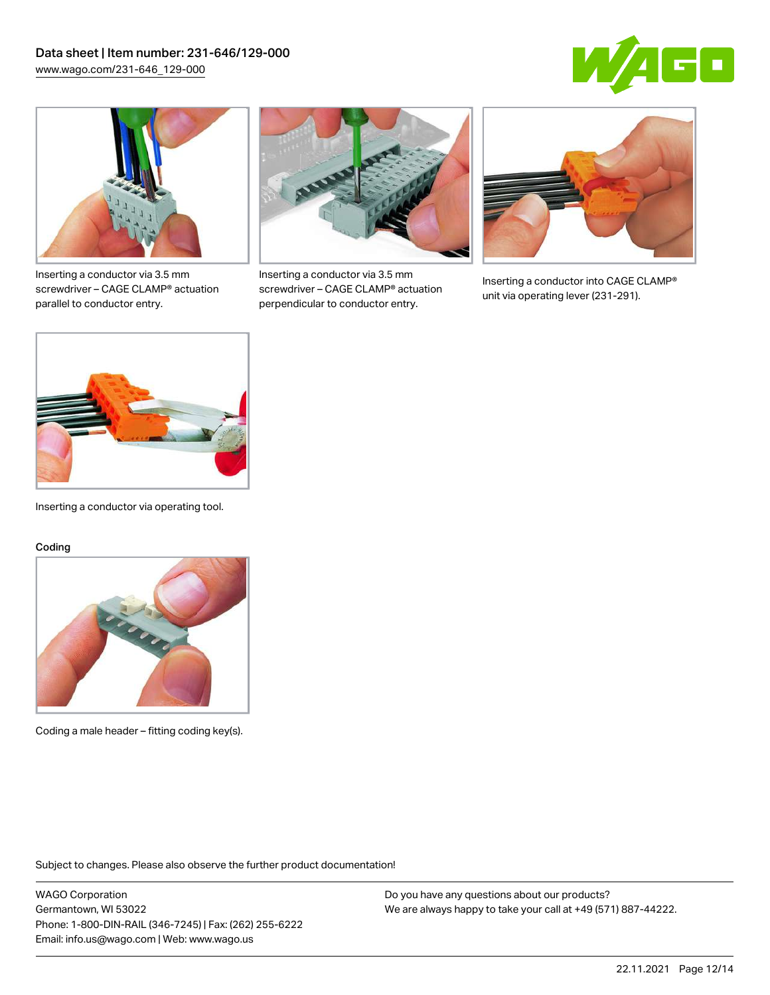



Inserting a conductor via 3.5 mm screwdriver – CAGE CLAMP® actuation parallel to conductor entry.



Inserting a conductor via 3.5 mm screwdriver – CAGE CLAMP® actuation perpendicular to conductor entry.



Inserting a conductor into CAGE CLAMP® unit via operating lever (231-291).



Inserting a conductor via operating tool.

#### Coding



Coding a male header – fitting coding key(s).

Subject to changes. Please also observe the further product documentation!

WAGO Corporation Germantown, WI 53022 Phone: 1-800-DIN-RAIL (346-7245) | Fax: (262) 255-6222 Email: info.us@wago.com | Web: www.wago.us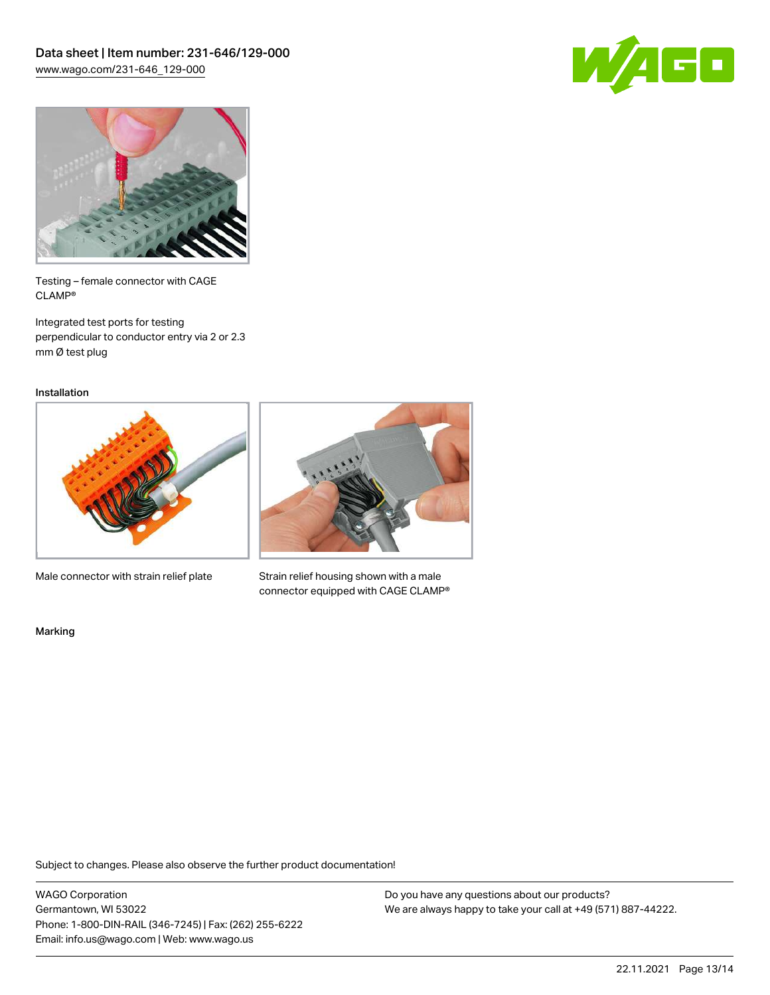



Testing – female connector with CAGE CLAMP®

Integrated test ports for testing perpendicular to conductor entry via 2 or 2.3 mm Ø test plug

Installation

![](_page_12_Picture_6.jpeg)

Male connector with strain relief plate

![](_page_12_Picture_8.jpeg)

Strain relief housing shown with a male connector equipped with CAGE CLAMP®

Marking

Subject to changes. Please also observe the further product documentation!

WAGO Corporation Germantown, WI 53022 Phone: 1-800-DIN-RAIL (346-7245) | Fax: (262) 255-6222 Email: info.us@wago.com | Web: www.wago.us